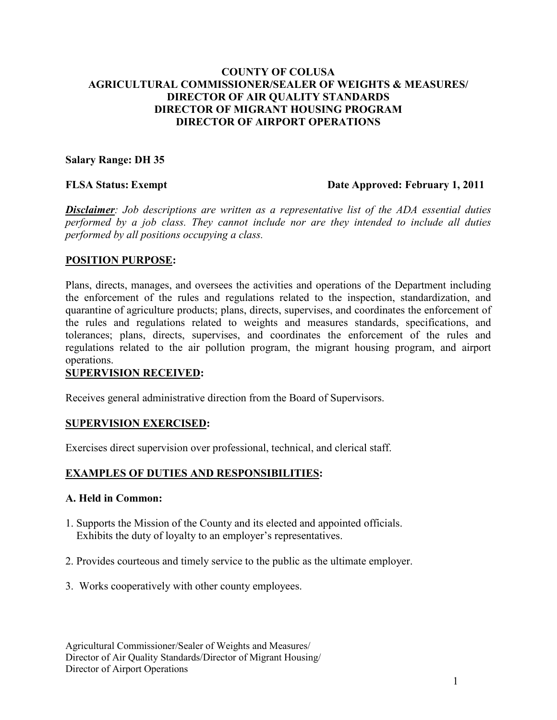## **COUNTY OF COLUSA AGRICULTURAL COMMISSIONER/SEALER OF WEIGHTS & MEASURES/ DIRECTOR OF AIR QUALITY STANDARDS DIRECTOR OF MIGRANT HOUSING PROGRAM DIRECTOR OF AIRPORT OPERATIONS**

### **Salary Range: DH 35**

#### **FLSA Status: Exempt Date Approved: February 1, 2011**

*Disclaimer: Job descriptions are written as a representative list of the ADA essential duties performed by a job class. They cannot include nor are they intended to include all duties performed by all positions occupying a class.* 

#### **POSITION PURPOSE:**

Plans, directs, manages, and oversees the activities and operations of the Department including the enforcement of the rules and regulations related to the inspection, standardization, and quarantine of agriculture products; plans, directs, supervises, and coordinates the enforcement of the rules and regulations related to weights and measures standards, specifications, and tolerances; plans, directs, supervises, and coordinates the enforcement of the rules and regulations related to the air pollution program, the migrant housing program, and airport operations.

#### **SUPERVISION RECEIVED:**

Receives general administrative direction from the Board of Supervisors.

#### **SUPERVISION EXERCISED:**

Exercises direct supervision over professional, technical, and clerical staff.

#### **EXAMPLES OF DUTIES AND RESPONSIBILITIES:**

#### **A. Held in Common:**

- 1. Supports the Mission of the County and its elected and appointed officials. Exhibits the duty of loyalty to an employer's representatives.
- 2. Provides courteous and timely service to the public as the ultimate employer.
- 3.Works cooperatively with other county employees.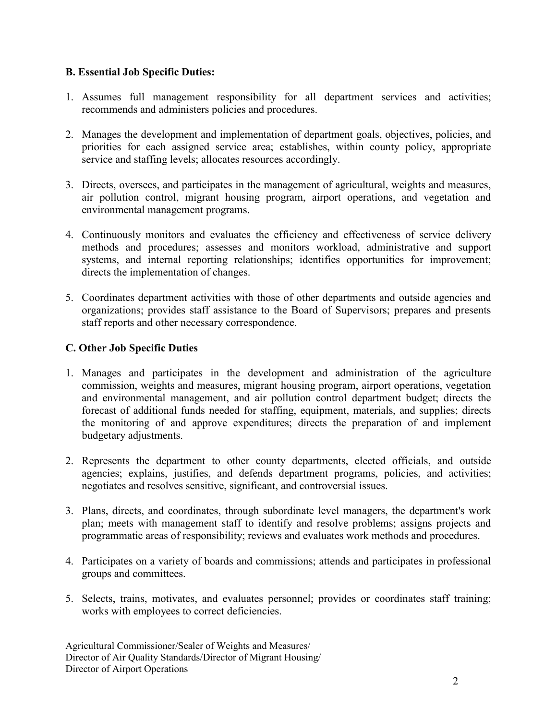# **B. Essential Job Specific Duties:**

- 1. Assumes full management responsibility for all department services and activities; recommends and administers policies and procedures.
- 2. Manages the development and implementation of department goals, objectives, policies, and priorities for each assigned service area; establishes, within county policy, appropriate service and staffing levels; allocates resources accordingly.
- 3. Directs, oversees, and participates in the management of agricultural, weights and measures, air pollution control, migrant housing program, airport operations, and vegetation and environmental management programs.
- 4. Continuously monitors and evaluates the efficiency and effectiveness of service delivery methods and procedures; assesses and monitors workload, administrative and support systems, and internal reporting relationships; identifies opportunities for improvement; directs the implementation of changes.
- 5. Coordinates department activities with those of other departments and outside agencies and organizations; provides staff assistance to the Board of Supervisors; prepares and presents staff reports and other necessary correspondence.

# **C. Other Job Specific Duties**

- 1. Manages and participates in the development and administration of the agriculture commission, weights and measures, migrant housing program, airport operations, vegetation and environmental management, and air pollution control department budget; directs the forecast of additional funds needed for staffing, equipment, materials, and supplies; directs the monitoring of and approve expenditures; directs the preparation of and implement budgetary adjustments.
- 2. Represents the department to other county departments, elected officials, and outside agencies; explains, justifies, and defends department programs, policies, and activities; negotiates and resolves sensitive, significant, and controversial issues.
- 3. Plans, directs, and coordinates, through subordinate level managers, the department's work plan; meets with management staff to identify and resolve problems; assigns projects and programmatic areas of responsibility; reviews and evaluates work methods and procedures.
- 4. Participates on a variety of boards and commissions; attends and participates in professional groups and committees.
- 5. Selects, trains, motivates, and evaluates personnel; provides or coordinates staff training; works with employees to correct deficiencies.

Agricultural Commissioner/Sealer of Weights and Measures/ Director of Air Quality Standards/Director of Migrant Housing/ Director of Airport Operations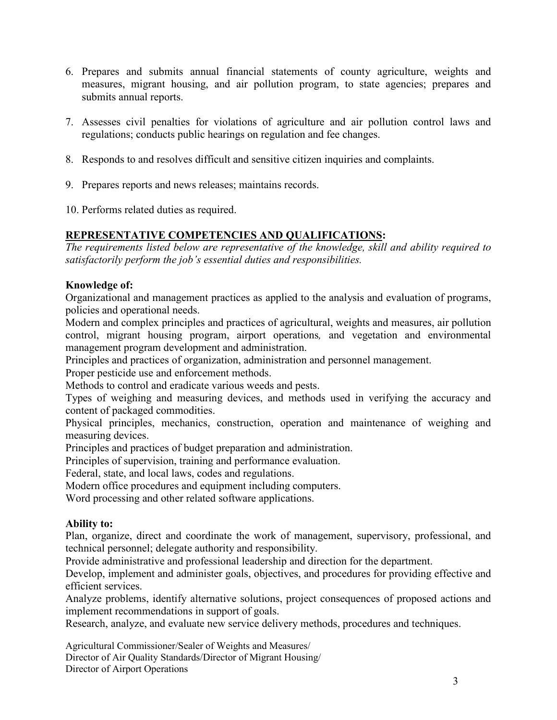- 6. Prepares and submits annual financial statements of county agriculture, weights and measures, migrant housing, and air pollution program, to state agencies; prepares and submits annual reports.
- 7. Assesses civil penalties for violations of agriculture and air pollution control laws and regulations; conducts public hearings on regulation and fee changes.
- 8. Responds to and resolves difficult and sensitive citizen inquiries and complaints.
- 9. Prepares reports and news releases; maintains records.
- 10. Performs related duties as required.

# **REPRESENTATIVE COMPETENCIES AND QUALIFICATIONS:**

*The requirements listed below are representative of the knowledge, skill and ability required to satisfactorily perform the job's essential duties and responsibilities.* 

# **Knowledge of:**

Organizational and management practices as applied to the analysis and evaluation of programs, policies and operational needs.

Modern and complex principles and practices of agricultural, weights and measures, air pollution control, migrant housing program, airport operations*,* and vegetation and environmental management program development and administration.

Principles and practices of organization, administration and personnel management.

Proper pesticide use and enforcement methods.

Methods to control and eradicate various weeds and pests.

Types of weighing and measuring devices, and methods used in verifying the accuracy and content of packaged commodities.

Physical principles, mechanics, construction, operation and maintenance of weighing and measuring devices.

Principles and practices of budget preparation and administration.

Principles of supervision, training and performance evaluation.

Federal, state, and local laws, codes and regulations.

Modern office procedures and equipment including computers.

Word processing and other related software applications.

# **Ability to:**

Plan, organize, direct and coordinate the work of management, supervisory, professional, and technical personnel; delegate authority and responsibility.

Provide administrative and professional leadership and direction for the department.

Develop, implement and administer goals, objectives, and procedures for providing effective and efficient services.

Analyze problems, identify alternative solutions, project consequences of proposed actions and implement recommendations in support of goals.

Research, analyze, and evaluate new service delivery methods, procedures and techniques.

Agricultural Commissioner/Sealer of Weights and Measures/ Director of Air Quality Standards/Director of Migrant Housing/ Director of Airport Operations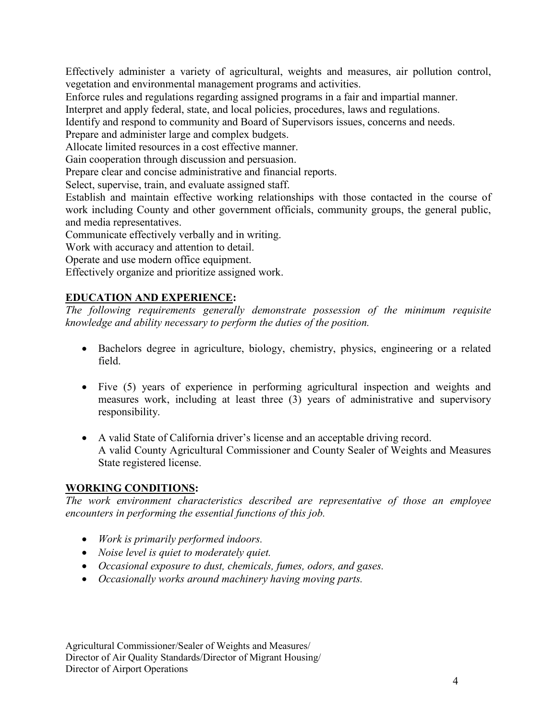Effectively administer a variety of agricultural, weights and measures, air pollution control, vegetation and environmental management programs and activities.

Enforce rules and regulations regarding assigned programs in a fair and impartial manner.

Interpret and apply federal, state, and local policies, procedures, laws and regulations.

Identify and respond to community and Board of Supervisors issues, concerns and needs.

Prepare and administer large and complex budgets.

Allocate limited resources in a cost effective manner.

Gain cooperation through discussion and persuasion.

Prepare clear and concise administrative and financial reports.

Select, supervise, train, and evaluate assigned staff.

Establish and maintain effective working relationships with those contacted in the course of work including County and other government officials, community groups, the general public, and media representatives.

Communicate effectively verbally and in writing.

Work with accuracy and attention to detail.

Operate and use modern office equipment.

Effectively organize and prioritize assigned work.

## **EDUCATION AND EXPERIENCE:**

*The following requirements generally demonstrate possession of the minimum requisite knowledge and ability necessary to perform the duties of the position.*

- Bachelors degree in agriculture, biology, chemistry, physics, engineering or a related field.
- Five (5) years of experience in performing agricultural inspection and weights and measures work, including at least three (3) years of administrative and supervisory responsibility.
- A valid State of California driver's license and an acceptable driving record. A valid County Agricultural Commissioner and County Sealer of Weights and Measures State registered license.

# **WORKING CONDITIONS:**

*The work environment characteristics described are representative of those an employee encounters in performing the essential functions of this job.* 

- *Work is primarily performed indoors.*
- *Noise level is quiet to moderately quiet.*
- *Occasional exposure to dust, chemicals, fumes, odors, and gases.*
- *Occasionally works around machinery having moving parts.*

Agricultural Commissioner/Sealer of Weights and Measures/ Director of Air Quality Standards/Director of Migrant Housing/ Director of Airport Operations